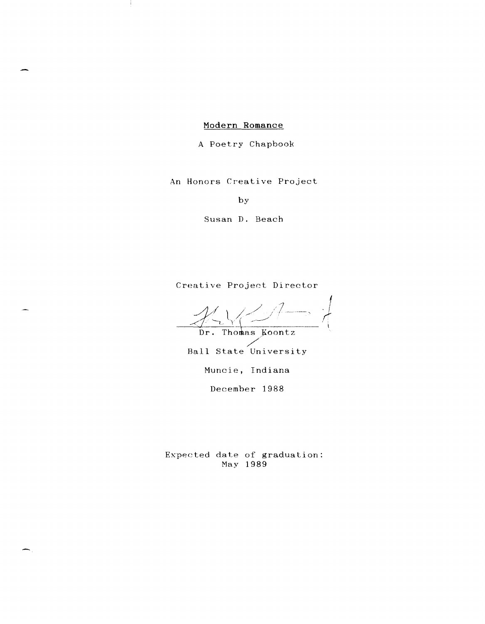# Modern Romance

÷

A Poetry Chapbook

An Honors Creative Project

by

Susan D. Beach

Creative Project Director

 $\mathcal{X} \vee \rightarrow \rightarrow$ I *,r'* 

Dr. Thomas Koontz /

Ball State University

Muncie, Indiana

December 1988

Expected date of graduation: May 1989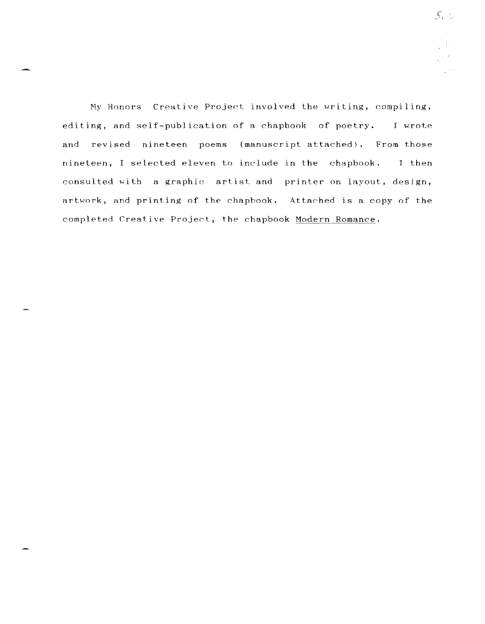My Honors Creative Project involved the writing, compiling, editing, and self-publication of a chapbook of poetry. I wrote and revised nineteen poems (manuscript attached). From those nineteen, I selected eleven to include in the chapbook. J then consulted with a graphic artist and printer on layout, design, artwork, and printing of *the* chapbook. Attached is a copy of the completed Creative Project, the chapbook Modern Romance.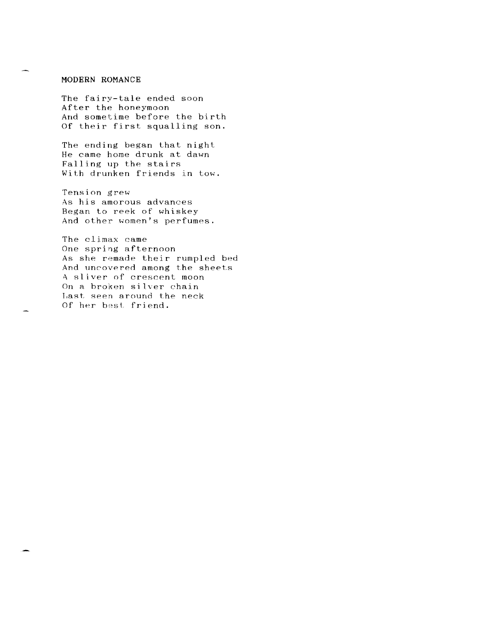### **MODERN ROMANCE**

The fairy-tale ended soon After the honeymoon And sometime before the birth Of their first squalling son.

The ending began that night He came home drunk at dawn Falling up the stairs With drunken friends in tow.

Tension grew As his amorous advances Began to reek of whiskey And other women's perfumes.

The climax came One spring afternoon As she remade their rumpled bed And uncovered among the sheets A sliver of crescent moon On a broken silver chain I,ast seen around the neck Of her best friend.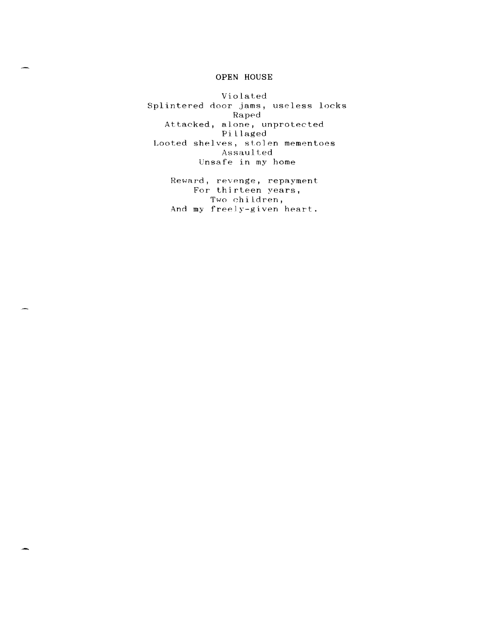### **OPEN HOUSE**

Violated Splintered door jams, useless locks Raped Attacked, alone, unprotected Pillaged Looted shelves, stolen mementoes Assaulted Unsafe in my home

> Reward, revenge, repayment For thirteen years, Two children, And my freely-given heart.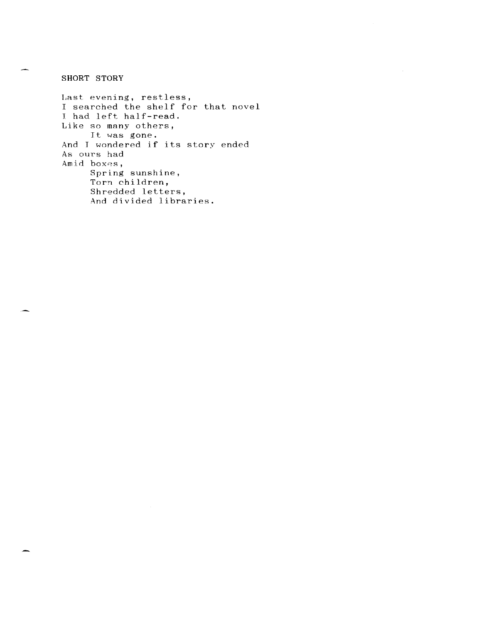**SHORT STORY** 

Last evening, restless, I searched the shelf for that novel <sup>I</sup>had left half-read. Like so many others, It was gone. And T wondered if its story ended As ours had Amid boxes, Spring sunshine, Torn children, Shredded letters, And divided libraries.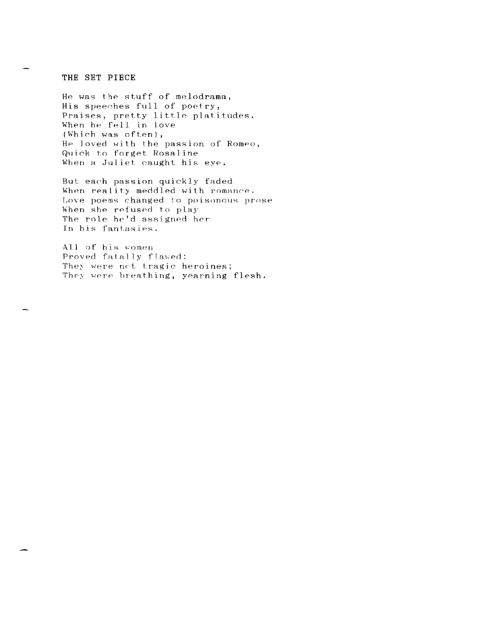#### **THE SET PIECE**

He was the stuff of melodrama, His speeches full of poetry, Praises, pretty little platitudes. When he fell in love (Which was often), He loved with the passion of Romeo, Quick to forget Rosaline When a Juliet caught his eye.

But each passion quickly faded When reality meddled with romance. Love poems changed to poisonous prose When she refused to play The role he'd assigned her In his fantasies.

All of his women Proved fatally flawed: They were net tragic heroines; They were breathing, yearning flesh.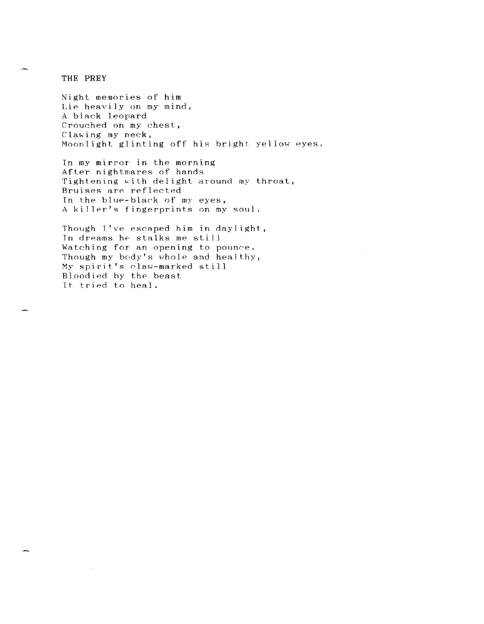THE PREY

Night memories of him Lie heavily on my mind, A black leopard Crouched on my chest, Clawing my neck, Moonlight glinting off his bright yellow eyes.

In my mirror in the morning After nightmares of hands Tightening with delight around my throat, Bruises are reflected In the blue-black of my eyes, A killer's fingerprints on my soul.

Though  $I'$ ve escaped him in daylight, Tn dreams he stalks me still Watching for an opening to pounce. Though my body's whole and healthy, My spirit's claw-marked still Bloodied by the beast It tried to heal.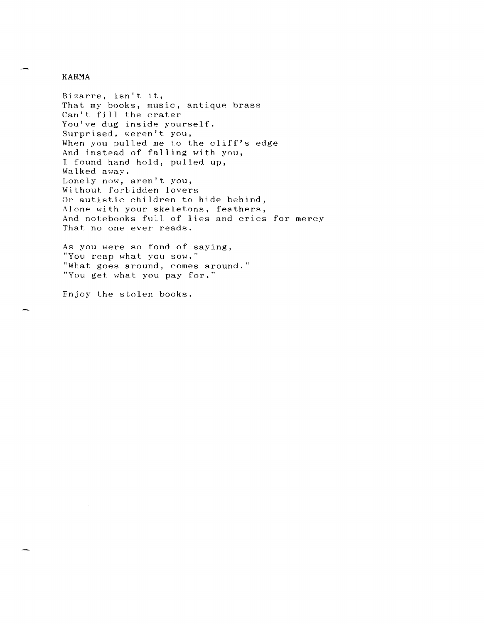#### **KARMA**

Bizarre, isn't it, That my books, music, antique brass Can't fill the crater You've dug inside yourself. Surprised, weren't you, When you pulled me to the cliff's edge And jnstead of falling with you, I found hand hold, pulled up, Walked away. Lonely now, aren't you, Without forbidden lovers Or autistic children to hide behind, Alone with your skeletons, feathers, And notebooks full of lies and cries for mercy That no one ever reads.

As you were so fond of saying, "You reap what you sow." "What goes around, comes around." "You get what you pay for."

Enjoy the stolen books.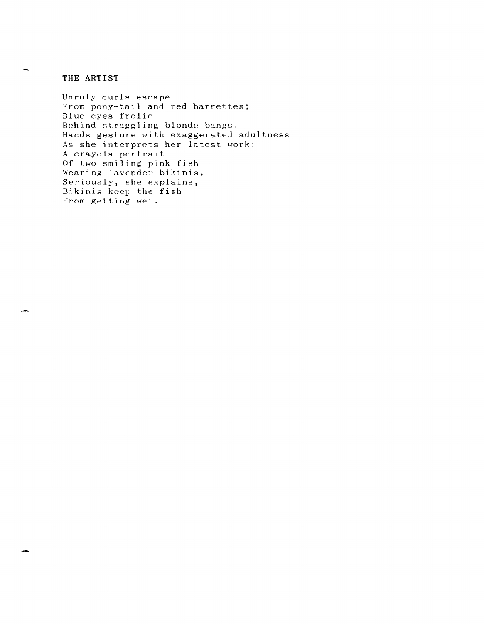#### **THE ARTIST**

Unruly curls escape From pony-tail and red barrettes; Blue eyes frolic Behind straggling blonde bangs; Hands gesture with exaggerated adultness As she interprets her latest work: A crayola portrait Of two smiling pink fish Wearing lavender bikinis. Seriously, she explains, Bikinis keep the fish From getting wet.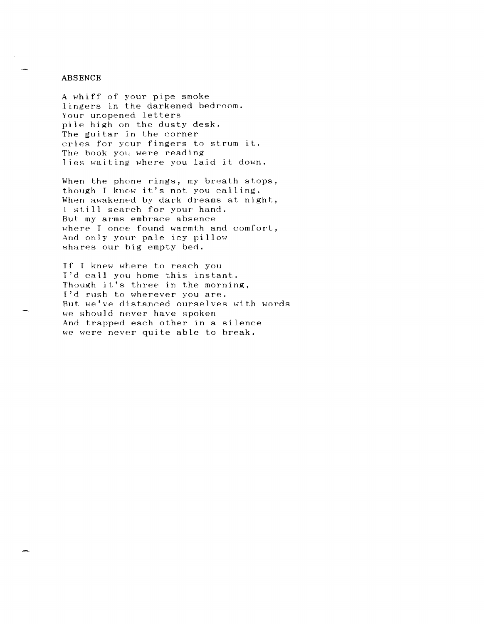#### ABSENCE

A whiff of your pipe smoke lingers in the darkened bedroom. Your unopened letters pile high on the dusty desk. The guitar in the corner cries for your fingers to strum it. The book you were reading lies waiting where you laid it down.

When the phone rings, my breath stops, though J know it's not you calling. When awakened by dark dreams at night, I still search for your hand. But my arms embrace absence where I once found warmth and comfort, And only your pale icy pillow shares our big empty bed.

If T knew where to reach you I'd call you home this instant. Though it's three in the morning, I'd rush to wherever you are. But we've distanced ourselves with words we should never have spoken And trapped each other in a silence we were never quite able to hreak.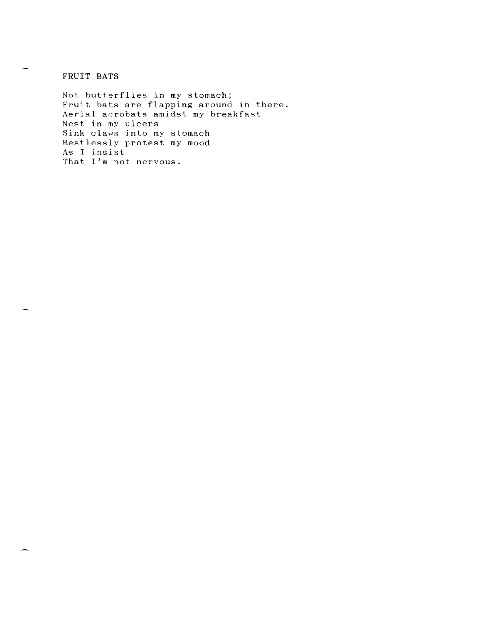**FRUIT BATS** 

Not butterflies in my stomach; Fruit bats are flapping around in there. Aerial acrobats amidst my breakfast Nest in my ulcers Sink claws jnto my stomach Restlessly protest my mood As I insist That I'm not nervous.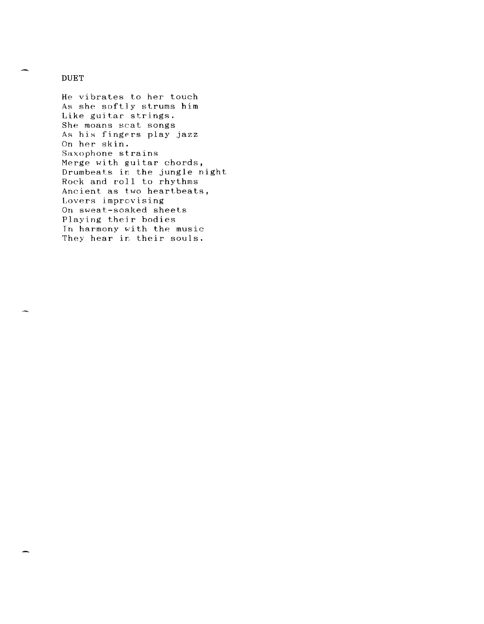#### **DUET**

He vibrates to her touch As she softly strums him Like guitar strings. She moans scat songs As his fingers play jazz On her skin. Saxophone strains Merge with guitar chords, Drumbeats in the jungle night Rock and roll to rhythms Ancient as two heartbeats, Lovers improvising On sweat-soaked sheets Playing their bodies Tn harmony with the music They hear in their souls.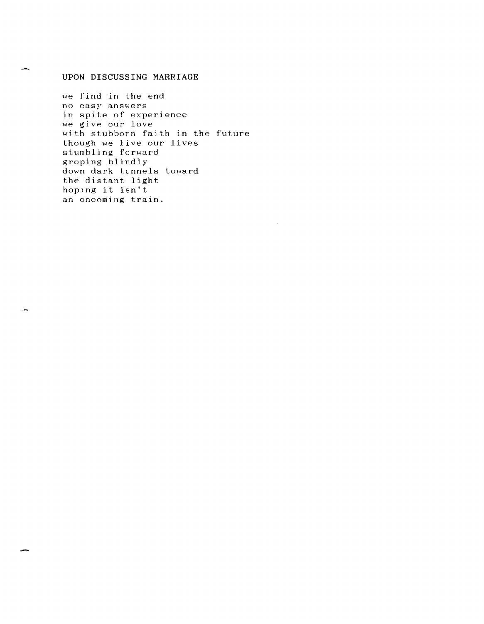### UPON DISCUSSING MARRIAGE

we find in the end no easy answers in spite of experience we give our love with stubborn faith in the future though we Jive our lives stumbling fcrward groping blindly down dark tunnels toward the distant light hoping it isn't an oncoming train.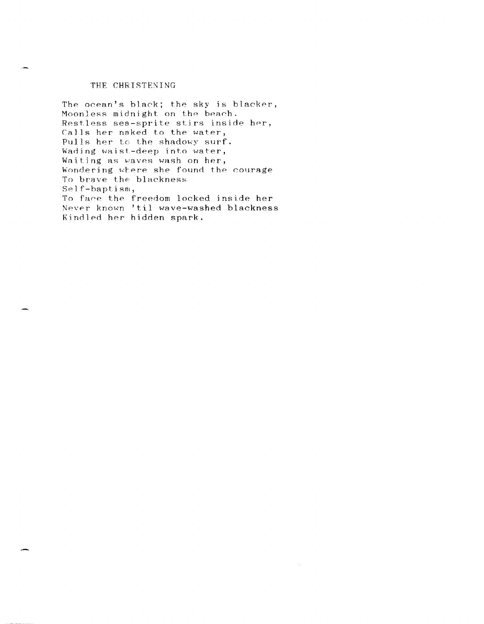#### THE CHRISTENING

The ocean's black; the sky is blacker, Moonless midnight on the beach. Restless sea-sprite stirs inside her, Calls her naked to the water, Pulls her to the shadowy surf. Wading waist-deep into water, Waiting as waves wash on her, Wondering where she found the courage To brave the blackness Self-baptism, To face the freedom locked inside her Never known 'til wave-washed blackness Kindled her hidden spark.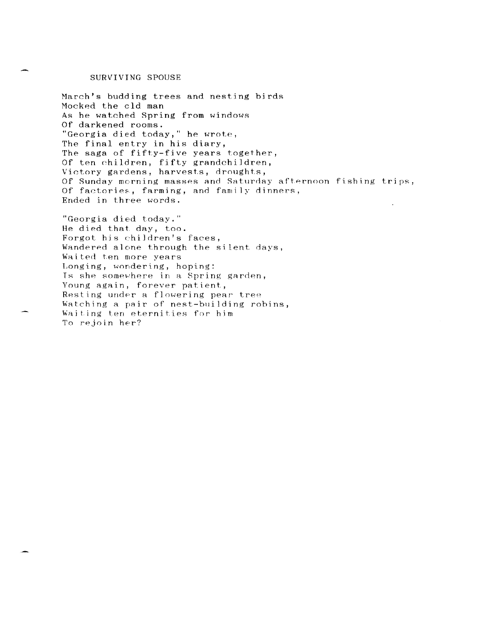#### SURVIVING SPOUSE

March's budding trees and nesting birds Mocked the cld man As he watched Spring from windows Of darkened rooms. "Georgia died today," he wrote, The final entry in his diary, The saga of fifty-five years together, Of ten children, fifty grandchildren, Victory gardens, harvests, droughts, Of Sunday morning masses and Saturday afternoon fishing trips, Of factories, farming, and family dinners, Ended in three words.

"Georgia died today." He died that day, too. Forgot his children's faces, Wandered alone through the silent days, Waited ten more years Longing, wondering, hoping: Is she somewhere in a Spring garden, Young again, forever patient, Resting under a flowering pear tree Watching a pair of nest-building robins, Waiting ten eternities for him To rejoin her?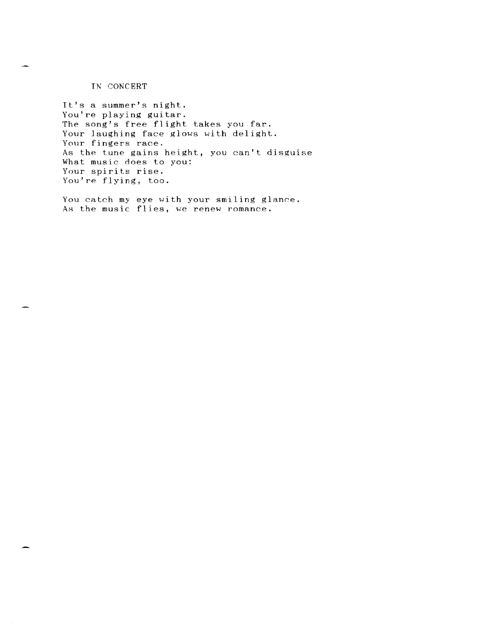IN CONCERT

It's a summer's night. You're playing guitar. The song's free flight takes you far. Your laughing face glows with delight. Your fingers race. As the tune gains height, you can't disguise What music does to you: Your spirits rise. You're flying, too.

You catch my eye with your smiling glance. As the music flies, we renew romance.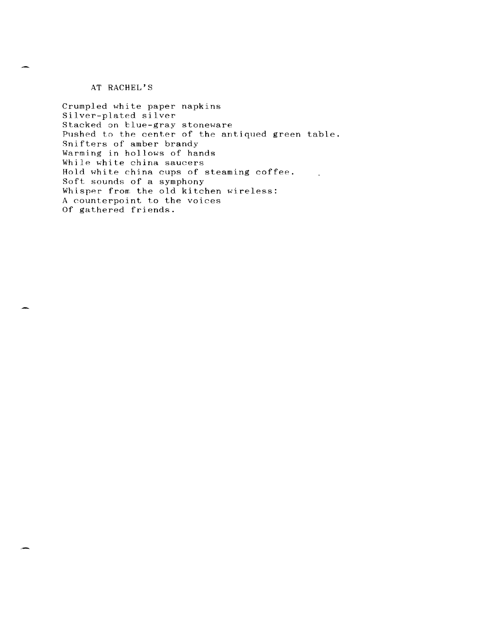AT RACHEL'S

Crumpled white paper napkins Silver-plated silver Stacked on blue-gray stoneware Pushed to the center of the antiqued green table. Snifters of amber brandy Warming in hollows of hands While white china saucers Hold white china cups of steaming coffee. Soft sounds of a symphony Whisper from the old kitchen wireless: A counterpoint to the voices Of gathered friends.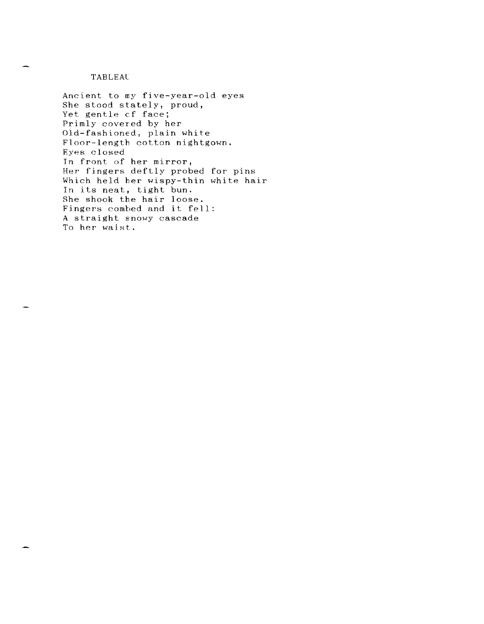### **TABLEAU**

Ancient to my five-year-old eyes She stood stately, proud, Yet gentle cf face; Primly covered by her Old-fashioned, plain white Floor-length cotton nightgown. Eyes closed In front of her mirror, Her fingers deftly probed for pins Which held her wispy-thin white hair Tn its neat, tight bun. She shook the hair loose. She shook the nair roose.<br>Fingers combed and it fell: A straight snowy cascade To her waist.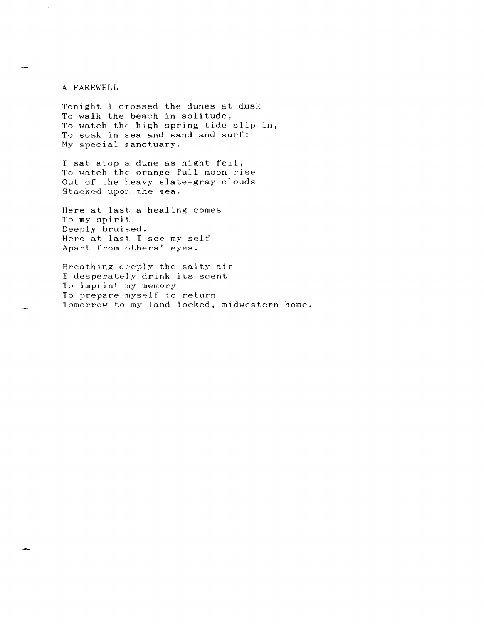A FAREWELL

Tonight I crossed the dunes at dusk To walk the beach in solitude, To watch the high spring tide slip in, To soak in sea and sand and surf: My special sanctuary.

I sat atop a dune as night fell, To watch the orange full moon rise Out of the heavy slate-gray clouds Stacked upon the sea.

Here at last a healing comes To my spirit Deeply bruised. Here at last I see my self Apart from others' eyes.

Breathing deeply the salty air I desperately drink its scent To imprint my memory To prepare myself to return Tomorrow to my land-locked, midwestern home.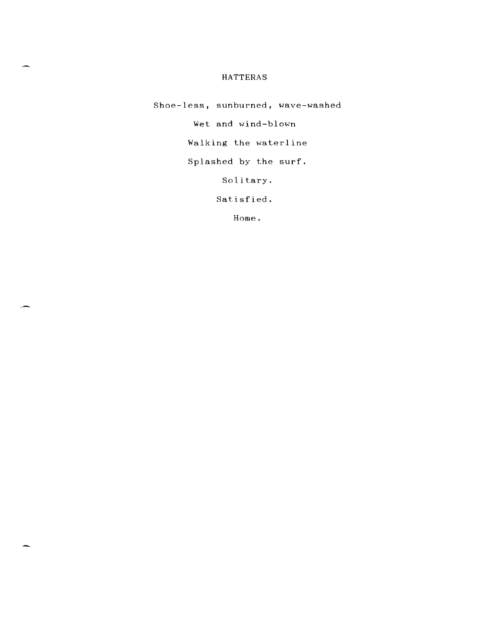## HATTERAS

Shoe-less, sunburned, wave-washed Wet and wind-blown Walking the waterline

Splashed by the surf.

Solitary.

Satisfied.

Home.